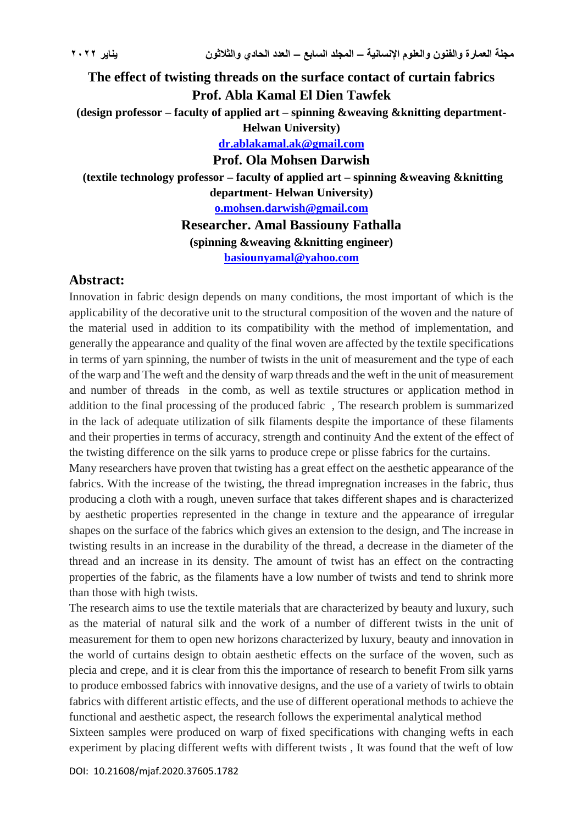## **The effect of twisting threads on the surface contact of curtain fabrics Prof. Abla Kamal El Dien Tawfek (design professor – faculty of applied art – spinning &weaving &knitting department-Helwan University) [dr.ablakamal.ak@gmail.com](mailto:dr.ablakamal.ak@gmail.com) Prof. Ola Mohsen Darwish (textile technology professor – faculty of applied art – spinning &weaving &knitting department- Helwan University) [o.mohsen.darwish@gmail.com](mailto:o.mohsen.darwish@gmail.com) Researcher. Amal Bassiouny Fathalla (spinning &weaving &knitting engineer) [basiounyamal@yahoo.com](mailto:basiounyamal@yahoo.com)**

## **Abstract:**

Innovation in fabric design depends on many conditions, the most important of which is the applicability of the decorative unit to the structural composition of the woven and the nature of the material used in addition to its compatibility with the method of implementation, and generally the appearance and quality of the final woven are affected by the textile specifications in terms of yarn spinning, the number of twists in the unit of measurement and the type of each of the warp and The weft and the density of warp threads and the weft in the unit of measurement and number of threads in the comb, as well as textile structures or application method in addition to the final processing of the produced fabric , The research problem is summarized in the lack of adequate utilization of silk filaments despite the importance of these filaments and their properties in terms of accuracy, strength and continuity And the extent of the effect of the twisting difference on the silk yarns to produce crepe or plisse fabrics for the curtains.

Many researchers have proven that twisting has a great effect on the aesthetic appearance of the fabrics. With the increase of the twisting, the thread impregnation increases in the fabric, thus producing a cloth with a rough, uneven surface that takes different shapes and is characterized by aesthetic properties represented in the change in texture and the appearance of irregular shapes on the surface of the fabrics which gives an extension to the design, and The increase in twisting results in an increase in the durability of the thread, a decrease in the diameter of the thread and an increase in its density. The amount of twist has an effect on the contracting properties of the fabric, as the filaments have a low number of twists and tend to shrink more than those with high twists.

The research aims to use the textile materials that are characterized by beauty and luxury, such as the material of natural silk and the work of a number of different twists in the unit of measurement for them to open new horizons characterized by luxury, beauty and innovation in the world of curtains design to obtain aesthetic effects on the surface of the woven, such as plecia and crepe, and it is clear from this the importance of research to benefit From silk yarns to produce embossed fabrics with innovative designs, and the use of a variety of twirls to obtain fabrics with different artistic effects, and the use of different operational methods to achieve the functional and aesthetic aspect, the research follows the experimental analytical method Sixteen samples were produced on warp of fixed specifications with changing wefts in each

experiment by placing different wefts with different twists , It was found that the weft of low